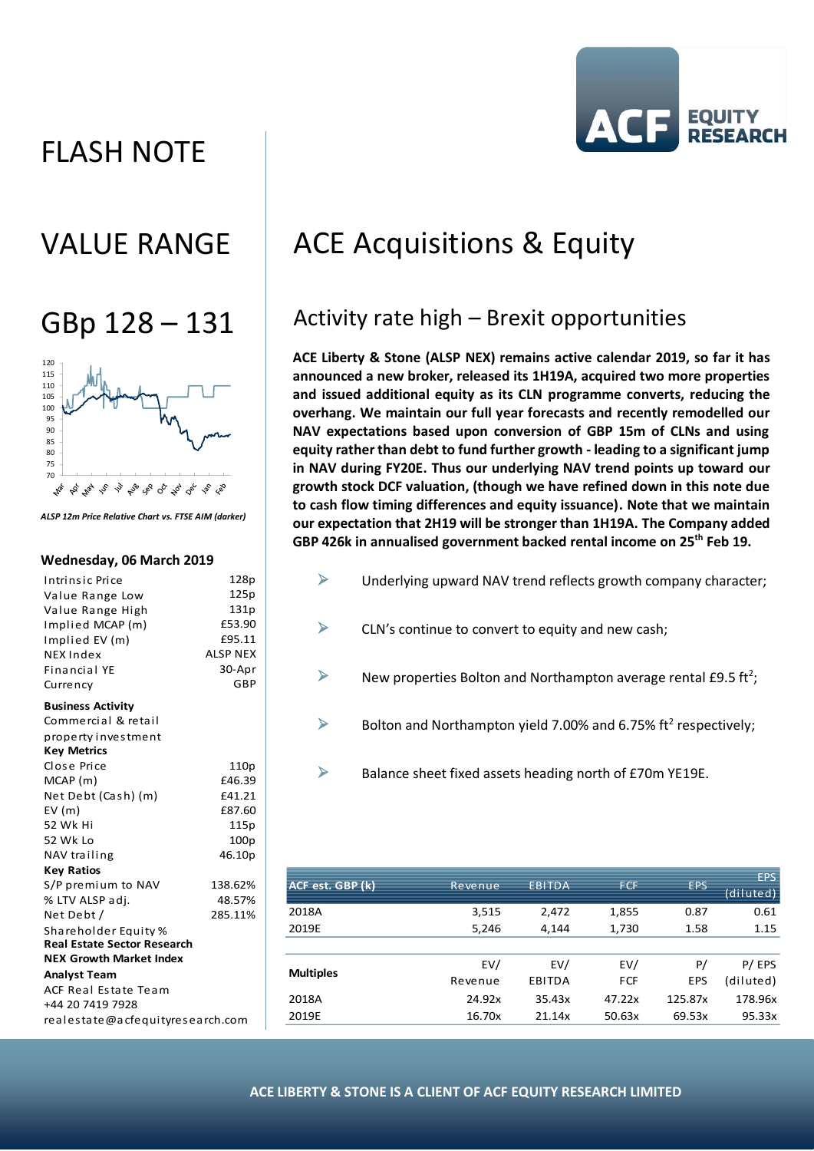# FLASH NOTE





*ALSP 12m Price Relative Chart vs. FTSE AIM (darker)*

#### **Wednesday, 06 March 2019**

| Intrinsic Price                    | 128p             |  |  |  |
|------------------------------------|------------------|--|--|--|
| Value Range Low                    | 125p             |  |  |  |
| Value Range High                   | 131p             |  |  |  |
| Implied MCAP (m)                   | £53.90           |  |  |  |
| Implied EV (m)                     | £95.11           |  |  |  |
| <b>NEX Index</b>                   | <b>ALSP NEX</b>  |  |  |  |
| Financial YE                       | 30-Apr           |  |  |  |
| Currency                           | GBP              |  |  |  |
| <b>Business Activity</b>           |                  |  |  |  |
| Commercial & retail                |                  |  |  |  |
| property investment                |                  |  |  |  |
| <b>Key Metrics</b>                 |                  |  |  |  |
| Close Price                        | 110p             |  |  |  |
| MCAP(m)                            | £46.39           |  |  |  |
| Net Debt (Cash) (m)                | £41.21           |  |  |  |
| EV(m)                              | £87.60           |  |  |  |
| 52 Wk Hi                           | 115p             |  |  |  |
| 52 Wk Lo                           | 100 <sub>p</sub> |  |  |  |
| NAV trailing                       | 46.10p           |  |  |  |
| <b>Key Ratios</b>                  |                  |  |  |  |
| S/P premium to NAV                 | 138.62%          |  |  |  |
| % LTV ALSP adj.                    | 48.57%           |  |  |  |
| Net Debt /                         | 285.11%          |  |  |  |
| Shareholder Equity %               |                  |  |  |  |
| <b>Real Estate Sector Research</b> |                  |  |  |  |
| <b>NEX Growth Market Index</b>     |                  |  |  |  |
| <b>Analyst Team</b>                |                  |  |  |  |
| ACF Real Estate Team               |                  |  |  |  |
| +44 20 7419 7928                   |                  |  |  |  |
| realestate@acfequityresearch.com   |                  |  |  |  |

# VALUE RANGE | ACE Acquisitions & Equity

## $GBD 128 - 131$  Activity rate high – Brexit opportunities

**ACE Liberty & Stone (ALSP NEX) remains active calendar 2019, so far it has announced a new broker, released its 1H19A, acquired two more properties and issued additional equity as its CLN programme converts, reducing the overhang. We maintain our full year forecasts and recently remodelled our NAV expectations based upon conversion of GBP 15m of CLNs and using equity rather than debt to fund further growth - leading to a significant jump in NAV during FY20E. Thus our underlying NAV trend points up toward our growth stock DCF valuation, (though we have refined down in this note due to cash flow timing differences and equity issuance). Note that we maintain our expectation that 2H19 will be stronger than 1H19A. The Company added GBP 426k in annualised government backed rental income on 25th Feb 19.**

- ➢ Underlying upward NAV trend reflects growth company character;
- $\triangleright$  CLN's continue to convert to equity and new cash;
- $\triangleright$  New properties Bolton and Northampton average rental £9.5 ft<sup>2</sup>;
- $\triangleright$  Bolton and Northampton yield 7.00% and 6.75% ft<sup>2</sup> respectively;
- ➢ Balance sheet fixed assets heading north of £70m YE19E.

| ACF est. GBP (k) | Revenue | <b>EBITDA</b> | <b>FCF</b> | <b>EPS</b> | <b>EPS</b><br>(diluted) |
|------------------|---------|---------------|------------|------------|-------------------------|
| 2018A            | 3,515   | 2,472         | 1,855      | 0.87       | 0.61                    |
| 2019E            | 5,246   | 4.144         | 1,730      | 1.58       | 1.15                    |
|                  |         |               |            |            |                         |
| <b>Multiples</b> | EV/     | EV/           | EV/        | P/         | P/EPS                   |
|                  | Revenue | EBITDA        | <b>FCF</b> | <b>EPS</b> | (diluted)               |
| 2018A            | 24.92x  | 35.43x        | 47.22x     | 125.87x    | 178.96x                 |
| 2019E            | 16.70x  | 21.14x        | 50.63x     | 69.53x     | 95.33x                  |
|                  |         |               |            |            |                         |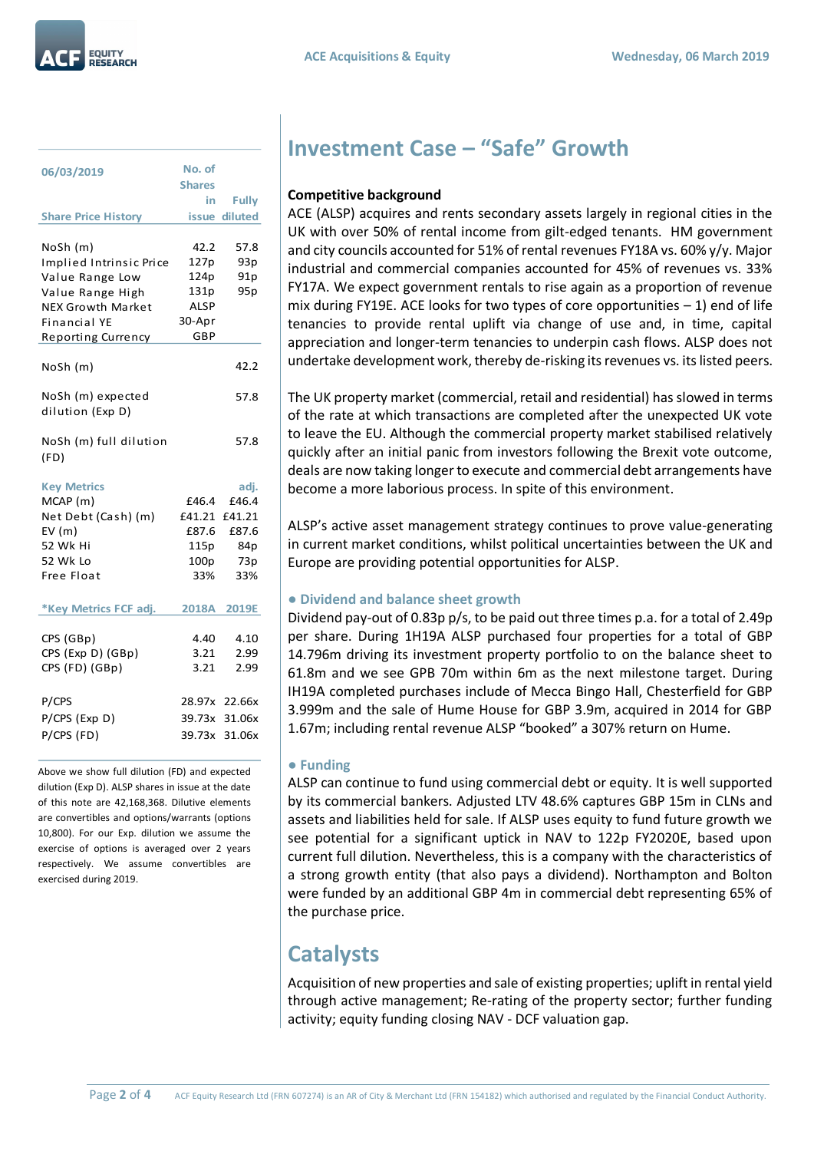| 06/03/2019                            | No. of<br><b>Shares</b> |                 |
|---------------------------------------|-------------------------|-----------------|
|                                       | in                      | <b>Fully</b>    |
| <b>Share Price History</b>            |                         | issue diluted   |
|                                       |                         |                 |
| NoSh (m)                              | 42.2                    | 57.8            |
| Implied Intrinsic Price               | 127p                    | 93p             |
| Value Range Low                       | 124p                    | 91 <sub>p</sub> |
| Value Range High                      | 131p                    | 95p             |
| <b>NEX Growth Market</b>              | <b>ALSP</b>             |                 |
| Financial YE                          | 30-Apr<br>GBP           |                 |
| Reporting Currency                    |                         |                 |
| NoSh (m)                              |                         | 42.2            |
| NoSh (m) expected<br>dilution (Exp D) |                         | 57.8            |
| NoSh (m) full dilution<br>(FD)        |                         | 57.8            |
| <b>Key Metrics</b>                    |                         | adj.            |
| MCAP (m)                              | £46.4                   | £46.4           |
| Net Debt (Cash) (m)                   | £41.21 £41.21           |                 |
| EV(m)                                 | £87.6                   | £87.6           |
| 52 Wk Hi                              | 115p                    | 84p             |
| 52 Wk Lo                              | 100p                    | 73p             |
| Free Float                            | 33%                     | 33%             |
| *Key Metrics FCF adj.                 |                         | 2018A 2019E     |
|                                       |                         |                 |
| CPS (GBp)                             | 4.40                    | 4.10            |
| CPS (Exp D) (GBp)                     | 3.21                    | 2.99            |
| CPS (FD) (GBp)                        | 3.21                    | 2.99            |
| P/CPS                                 |                         | 28.97x 22.66x   |
| P/CPS (Exp D)                         |                         | 39.73x 31.06x   |
| P/CPS (FD)                            |                         | 39.73x 31.06x   |
|                                       |                         |                 |

Above we show full dilution (FD) and expected dilution (Exp D). ALSP shares in issue at the date of this note are 42,168,368. Dilutive elements are convertibles and options/warrants (options 10,800). For our Exp. dilution we assume the exercise of options is averaged over 2 years respectively. We assume convertibles are exercised during 2019.

### **Investment Case – "Safe" Growth**

#### **Competitive background**

ACE (ALSP) acquires and rents secondary assets largely in regional cities in the UK with over 50% of rental income from gilt-edged tenants. HM government and city councils accounted for 51% of rental revenues FY18A vs. 60% y/y. Major industrial and commercial companies accounted for 45% of revenues vs. 33% FY17A. We expect government rentals to rise again as a proportion of revenue mix during FY19E. ACE looks for two types of core opportunities  $-1$ ) end of life tenancies to provide rental uplift via change of use and, in time, capital appreciation and longer-term tenancies to underpin cash flows. ALSP does not undertake development work, thereby de-risking its revenues vs. its listed peers.

The UK property market (commercial, retail and residential) has slowed in terms of the rate at which transactions are completed after the unexpected UK vote to leave the EU. Although the commercial property market stabilised relatively quickly after an initial panic from investors following the Brexit vote outcome, deals are now taking longer to execute and commercial debt arrangements have become a more laborious process. In spite of this environment.

ALSP's active asset management strategy continues to prove value-generating in current market conditions, whilst political uncertainties between the UK and Europe are providing potential opportunities for ALSP.

### **● Dividend and balance sheet growth**

Dividend pay-out of 0.83p p/s, to be paid out three times p.a. for a total of 2.49p per share. During 1H19A ALSP purchased four properties for a total of GBP 14.796m driving its investment property portfolio to on the balance sheet to 61.8m and we see GPB 70m within 6m as the next milestone target. During IH19A completed purchases include of Mecca Bingo Hall, Chesterfield for GBP 3.999m and the sale of Hume House for GBP 3.9m, acquired in 2014 for GBP 1.67m; including rental revenue ALSP "booked" a 307% return on Hume.

#### **● Funding**

ALSP can continue to fund using commercial debt or equity. It is well supported by its commercial bankers. Adjusted LTV 48.6% captures GBP 15m in CLNs and assets and liabilities held for sale. If ALSP uses equity to fund future growth we see potential for a significant uptick in NAV to 122p FY2020E, based upon current full dilution. Nevertheless, this is a company with the characteristics of a strong growth entity (that also pays a dividend). Northampton and Bolton were funded by an additional GBP 4m in commercial debt representing 65% of the purchase price.

### **Catalysts**

Acquisition of new properties and sale of existing properties; uplift in rental yield through active management; Re-rating of the property sector; further funding activity; equity funding closing NAV - DCF valuation gap.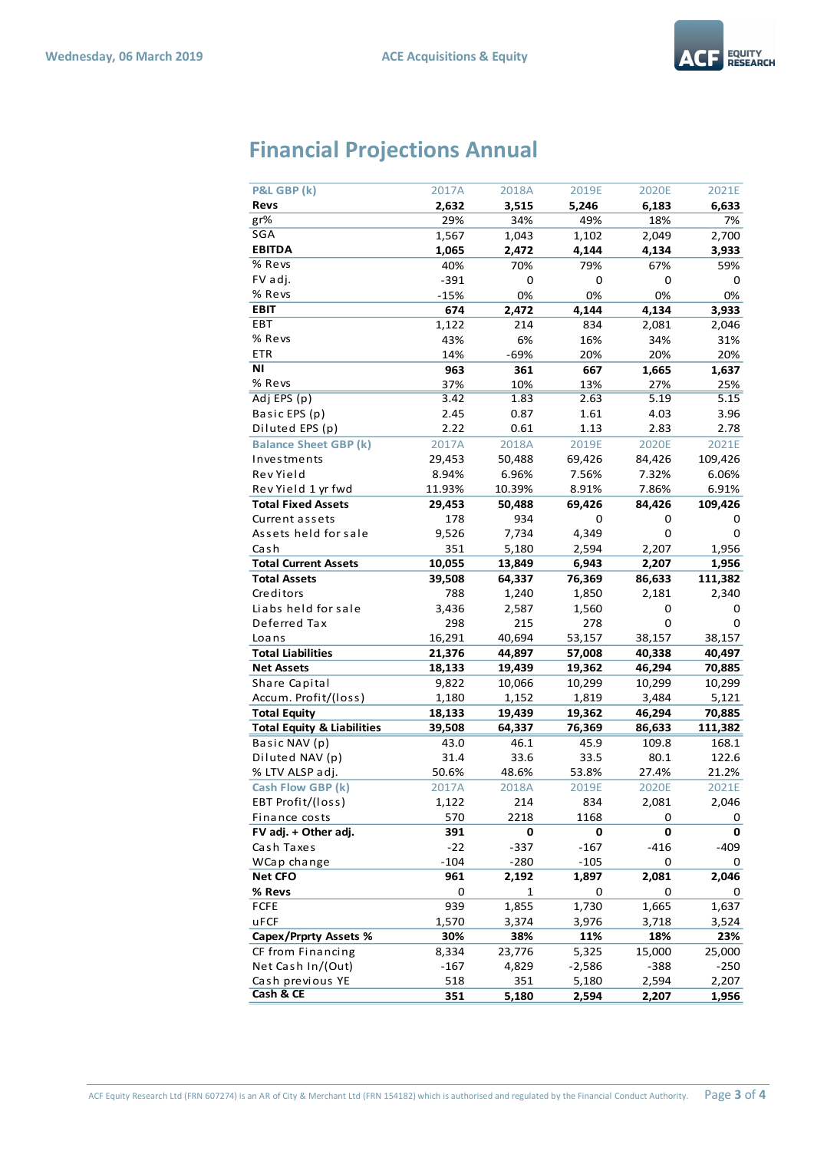

## **Financial Projections Annual**

| P&L GBP (k)                           | 2017A  | 2018A  | 2019E    | 2020E  | 2021E   |
|---------------------------------------|--------|--------|----------|--------|---------|
| Revs                                  | 2,632  | 3,515  | 5,246    | 6,183  | 6,633   |
| gr%                                   | 29%    | 34%    | 49%      | 18%    | 7%      |
| SGA                                   | 1,567  | 1,043  | 1,102    | 2,049  | 2,700   |
| <b>EBITDA</b>                         | 1,065  | 2,472  | 4,144    | 4,134  | 3,933   |
| $%$ Revs                              | 40%    | 70%    | 79%      | 67%    | 59%     |
| FV adj.                               | $-391$ | 0      | 0        | 0      | 0       |
| % Revs                                | $-15%$ | 0%     | 0%       | 0%     | 0%      |
| <b>EBIT</b>                           | 674    | 2,472  | 4,144    | 4,134  | 3,933   |
| EBT                                   | 1,122  | 214    | 834      | 2,081  | 2,046   |
| % Revs                                | 43%    | 6%     | 16%      | 34%    | 31%     |
| ETR                                   | 14%    | $-69%$ | 20%      | 20%    | 20%     |
| ΝI                                    | 963    | 361    | 667      | 1,665  | 1,637   |
| % Revs                                | 37%    | 10%    | 13%      | 27%    | 25%     |
| Adj EPS (p)                           | 3.42   | 1.83   | 2.63     | 5.19   | 5.15    |
| Basic EPS (p)                         | 2.45   | 0.87   | 1.61     | 4.03   | 3.96    |
| Diluted EPS (p)                       | 2.22   | 0.61   | 1.13     | 2.83   | 2.78    |
| <b>Balance Sheet GBP (k)</b>          | 2017A  | 2018A  | 2019E    | 2020E  | 2021E   |
| Investments                           | 29,453 | 50,488 | 69,426   | 84,426 | 109,426 |
| Rev Yield                             | 8.94%  | 6.96%  | 7.56%    | 7.32%  | 6.06%   |
| Rev Yield 1 yr fwd                    | 11.93% | 10.39% | 8.91%    | 7.86%  | 6.91%   |
| <b>Total Fixed Assets</b>             | 29,453 | 50,488 | 69,426   | 84,426 | 109,426 |
| Current assets                        | 178    | 934    | 0        | 0      | 0       |
| Assets held for sale                  | 9,526  | 7,734  | 4,349    | 0      | 0       |
| Cash                                  | 351    | 5,180  | 2,594    | 2,207  | 1,956   |
| <b>Total Current Assets</b>           | 10,055 | 13,849 | 6,943    | 2,207  | 1,956   |
| <b>Total Assets</b>                   | 39,508 | 64,337 | 76,369   | 86,633 | 111,382 |
| Creditors                             | 788    | 1,240  | 1,850    | 2,181  | 2,340   |
| Liabs held for sale                   | 3,436  | 2,587  | 1,560    | 0      | 0       |
| Deferred Tax                          | 298    | 215    | 278      | 0      | 0       |
| Loans                                 | 16,291 | 40,694 | 53,157   | 38,157 | 38,157  |
| <b>Total Liabilities</b>              | 21,376 | 44,897 | 57,008   | 40,338 | 40,497  |
| <b>Net Assets</b>                     | 18,133 | 19,439 | 19,362   | 46,294 | 70,885  |
| Share Capital                         | 9,822  | 10,066 | 10,299   | 10,299 | 10,299  |
| Accum. Profit/(loss)                  | 1,180  | 1,152  | 1,819    | 3,484  | 5,121   |
| <b>Total Equity</b>                   | 18,133 | 19,439 | 19,362   | 46,294 | 70,885  |
| <b>Total Equity &amp; Liabilities</b> | 39,508 | 64,337 | 76,369   | 86,633 | 111,382 |
| Basic NAV (p)                         | 43.0   | 46.1   | 45.9     | 109.8  | 168.1   |
| Diluted NAV (p)                       | 31.4   | 33.6   | 33.5     | 80.1   | 122.6   |
| % LTV ALSP adj.                       | 50.6%  | 48.6%  | 53.8%    | 27.4%  | 21.2%   |
| Cash Flow GBP (k)                     | 2017A  | 2018A  | 2019E    | 2020E  | 2021E   |
| EBT Profit/(loss)                     | 1,122  | 214    | 834      | 2,081  | 2,046   |
| Finance costs                         | 570    | 2218   | 1168     | 0      | 0       |
| FV adj. + Other adj.                  | 391    | 0      | 0        | 0      | 0       |
| Cash Taxes                            | $-22$  | $-337$ | $-167$   | $-416$ | $-409$  |
| WCap change                           | $-104$ | $-280$ | $-105$   | 0      | 0       |
| <b>Net CFO</b>                        | 961    | 2,192  | 1,897    | 2,081  | 2,046   |
| % Revs                                | 0      | 1      | 0        | 0      | 0       |
| <b>FCFE</b>                           | 939    | 1,855  | 1,730    | 1,665  | 1,637   |
| uFCF                                  | 1,570  | 3,374  | 3,976    | 3,718  | 3,524   |
| <b>Capex/Prprty Assets %</b>          | 30%    | 38%    | 11%      | 18%    | 23%     |
| CF from Financing                     | 8,334  | 23,776 | 5,325    | 15,000 | 25,000  |
| Net Cash In/(Out)                     | $-167$ | 4,829  | $-2,586$ | -388   | $-250$  |
| Cash previous YE                      | 518    | 351    | 5,180    | 2,594  | 2,207   |
| Cash & CE                             | 351    | 5,180  | 2,594    | 2,207  | 1,956   |
|                                       |        |        |          |        |         |

ACF Equity Research Ltd (FRN 607274) is an AR of City & Merchant Ltd (FRN 154182) which is authorised and regulated by the Financial Conduct Authority. Page **3** of **4**